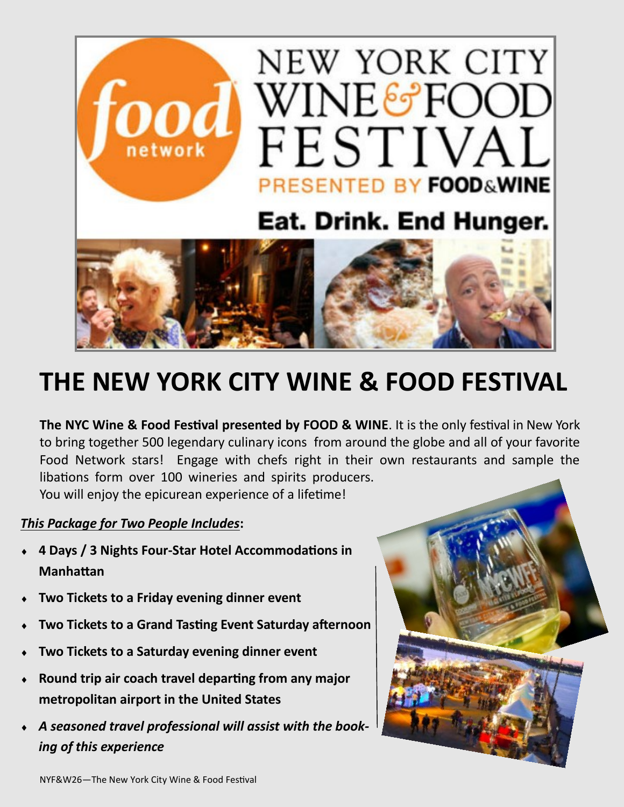

## **THE NEW YORK CITY WINE & FOOD FESTIVAL**

**The NYC Wine & Food Festival presented by FOOD & WINE**. It is the only festival in New York to bring together 500 legendary culinary icons from around the globe and all of your favorite Food Network stars! Engage with chefs right in their own restaurants and sample the libations form over 100 wineries and spirits producers. You will enjoy the epicurean experience of a lifetime!

## *This Package for Two People Includes***:**

- **4 Days / 3 Nights Four-Star Hotel Accommodations in Manhattan**
- **Two Tickets to a Friday evening dinner event**
- **Two Tickets to a Grand Tasting Event Saturday afternoon**
- **Two Tickets to a Saturday evening dinner event**
- **Round trip air coach travel departing from any major metropolitan airport in the United States**
- *A seasoned travel professional will assist with the booking of this experience*